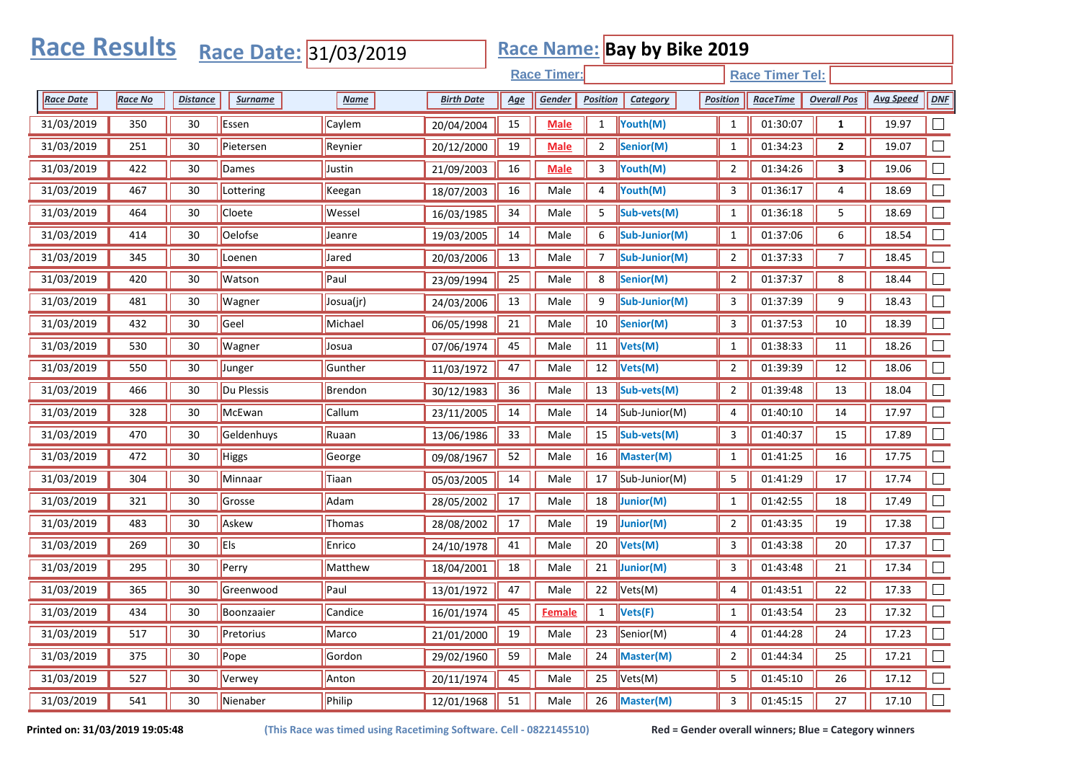|                  | <b>Race Results</b><br><b>Race Name: Bay by Bike 2019</b><br>Race Date: 31/03/2019 |                 |              |             |                   |            |                    |                 |                                    |                 |                        |                    |                  |            |
|------------------|------------------------------------------------------------------------------------|-----------------|--------------|-------------|-------------------|------------|--------------------|-----------------|------------------------------------|-----------------|------------------------|--------------------|------------------|------------|
|                  |                                                                                    |                 |              |             |                   |            | <b>Race Timer:</b> |                 |                                    |                 | <b>Race Timer Tel:</b> |                    |                  |            |
| <b>Race Date</b> | Race No                                                                            | <b>Distance</b> | Surname      | <b>Name</b> | <b>Birth Date</b> | <u>Age</u> | Gender             | <b>Position</b> | Category                           | <b>Position</b> | <b>RaceTime</b>        | <b>Overall Pos</b> | <b>Avg Speed</b> | <b>DNF</b> |
| 31/03/2019       | 350                                                                                | 30              | Essen        | Caylem      | 20/04/2004        | 15         | <b>Male</b>        | $\mathbf{1}$    | Youth(M)                           | $\mathbf{1}$    | 01:30:07               | $\mathbf{1}$       | 19.97            |            |
| 31/03/2019       | 251                                                                                | 30              | Pietersen    | Reynier     | 20/12/2000        | 19         | <b>Male</b>        | 2               | Senior(M)                          | $\mathbf{1}$    | 01:34:23               | $\mathbf{2}$       | 19.07            |            |
| 31/03/2019       | 422                                                                                | 30              | Dames        | Justin      | 21/09/2003        | 16         | <b>Male</b>        | 3               | Youth(M)                           | $\overline{2}$  | 01:34:26               | 3                  | 19.06            |            |
| 31/03/2019       | 467                                                                                | 30              | Lottering    | Keegan      | 18/07/2003        | 16         | Male               | 4               | Youth(M)                           | 3               | 01:36:17               | 4                  | 18.69            |            |
| 31/03/2019       | 464                                                                                | 30              | Cloete       | Wessel      | 16/03/1985        | 34         | Male               | 5               | Sub-vets(M)                        | $\mathbf{1}$    | 01:36:18               | 5                  | 18.69            |            |
| 31/03/2019       | 414                                                                                | 30              | Oelofse      | Jeanre      | 19/03/2005        | 14         | Male               | 6               | Sub-Junior(M)                      | $\mathbf{1}$    | 01:37:06               | 6                  | 18.54            |            |
| 31/03/2019       | 345                                                                                | 30              | Loenen       | Jared       | 20/03/2006        | 13         | Male               | 7               | Sub-Junior(M)                      | $\overline{2}$  | 01:37:33               | 7                  | 18.45            |            |
| 31/03/2019       | 420                                                                                | 30              | Watson       | Paul        | 23/09/1994        | 25         | Male               | 8               | Senior(M)                          | $\overline{2}$  | 01:37:37               | 8                  | 18.44            |            |
| 31/03/2019       | 481                                                                                | 30              | Wagner       | Josua(jr)   | 24/03/2006        | 13         | Male               | 9               | Sub-Junior(M)                      | 3               | 01:37:39               | 9                  | 18.43            |            |
| 31/03/2019       | 432                                                                                | 30              | Geel         | Michael     | 06/05/1998        | 21         | Male               | 10              | Senior(M)                          | $\mathbf{3}$    | 01:37:53               | 10                 | 18.39            |            |
| 31/03/2019       | 530                                                                                | 30              | Wagner       | Josua       | 07/06/1974        | 45         | Male               | $11\,$          | Vets(M)                            | $\mathbf{1}$    | 01:38:33               | 11                 | 18.26            |            |
| 31/03/2019       | 550                                                                                | 30              | Junger       | Gunther     | 11/03/1972        | 47         | Male               | 12              | Vets(M)                            | $\overline{2}$  | 01:39:39               | 12                 | 18.06            |            |
| 31/03/2019       | 466                                                                                | 30              | Du Plessis   | Brendon     | 30/12/1983        | 36         | Male               | 13              | Sub-vets(M)                        | $\overline{2}$  | 01:39:48               | 13                 | 18.04            |            |
| 31/03/2019       | 328                                                                                | 30              | McEwan       | Callum      | 23/11/2005        | 14         | Male               | 14              | Sub-Junior(M)                      | 4               | 01:40:10               | 14                 | 17.97            |            |
| 31/03/2019       | 470                                                                                | 30              | Geldenhuys   | Ruaan       | 13/06/1986        | 33         | Male               | 15              | Sub-vets(M)                        | $\mathbf{3}$    | 01:40:37               | 15                 | 17.89            |            |
| 31/03/2019       | 472                                                                                | 30              | <b>Higgs</b> | George      | 09/08/1967        | 52         | Male               | 16              | Master(M)                          | $\mathbf{1}$    | 01:41:25               | 16                 | 17.75            |            |
| 31/03/2019       | 304                                                                                | 30              | Minnaar      | Tiaan       | 05/03/2005        | 14         | Male               | 17              | Sub-Junior(M)                      | 5               | 01:41:29               | 17                 | 17.74            |            |
| 31/03/2019       | 321                                                                                | 30              | Grosse       | Adam        | 28/05/2002        | 17         | Male               | 18              | Junior(M)                          | $\mathbf{1}$    | 01:42:55               | 18                 | 17.49            |            |
| 31/03/2019       | 483                                                                                | 30              | Askew        | Thomas      | 28/08/2002        | 17         | Male               | 19              | Junior(M)                          | $\overline{2}$  | 01:43:35               | 19                 | 17.38            |            |
| 31/03/2019       | 269                                                                                | 30              | <b>Els</b>   | Enrico      | 24/10/1978        | 41         | Male               | $20\,$          | Vets(M)                            | 3               | 01:43:38               | 20                 | 17.37            |            |
| 31/03/2019       | 295                                                                                | 30              | Perry        | Matthew     | 18/04/2001        | 18         | Male               | 21              | Junior(M)                          | 3               | 01:43:48               | 21                 | 17.34            |            |
| 31/03/2019       | 365                                                                                | 30              | Greenwood    | Paul        | 13/01/1972        | 47         | Male               | 22              | Vets(M)                            | 4               | 01:43:51               | 22                 | 17.33            |            |
| 31/03/2019       | 434                                                                                | 30              | Boonzaaier   | Candice     | 16/01/1974        |            | 45 Female          | 1 <sup>2</sup>  | $\sqrt{\mathsf{Vets}(\mathsf{F})}$ | $\overline{1}$  | 01:43:54               | 23                 | 17.32            | $\Box$     |
| 31/03/2019       | 517                                                                                | 30              | Pretorius    | Marco       | 21/01/2000        | 19         | Male               | 23              | Senior(M)                          | $\overline{4}$  | 01:44:28               | 24                 | 17.23            | $\Box$     |
| 31/03/2019       | 375                                                                                | 30              | Pope         | Gordon      | 29/02/1960        | 59         | Male               | 24              | Master(M)                          | $\overline{2}$  | 01:44:34               | 25                 | 17.21            | $\Box$     |
| 31/03/2019       | 527                                                                                | 30              | Verwey       | Anton       | 20/11/1974        | 45         | Male               | 25              | Vets(M)                            | 5               | 01:45:10               | 26                 | 17.12            | $\Box$     |
| 31/03/2019       | 541                                                                                | 30              | Nienaber     | Philip      | 12/01/1968        | 51         | Male               | 26              | Master(M)                          | $\mathbf{3}$    | 01:45:15               | $27\,$             | 17.10            | $\Box$     |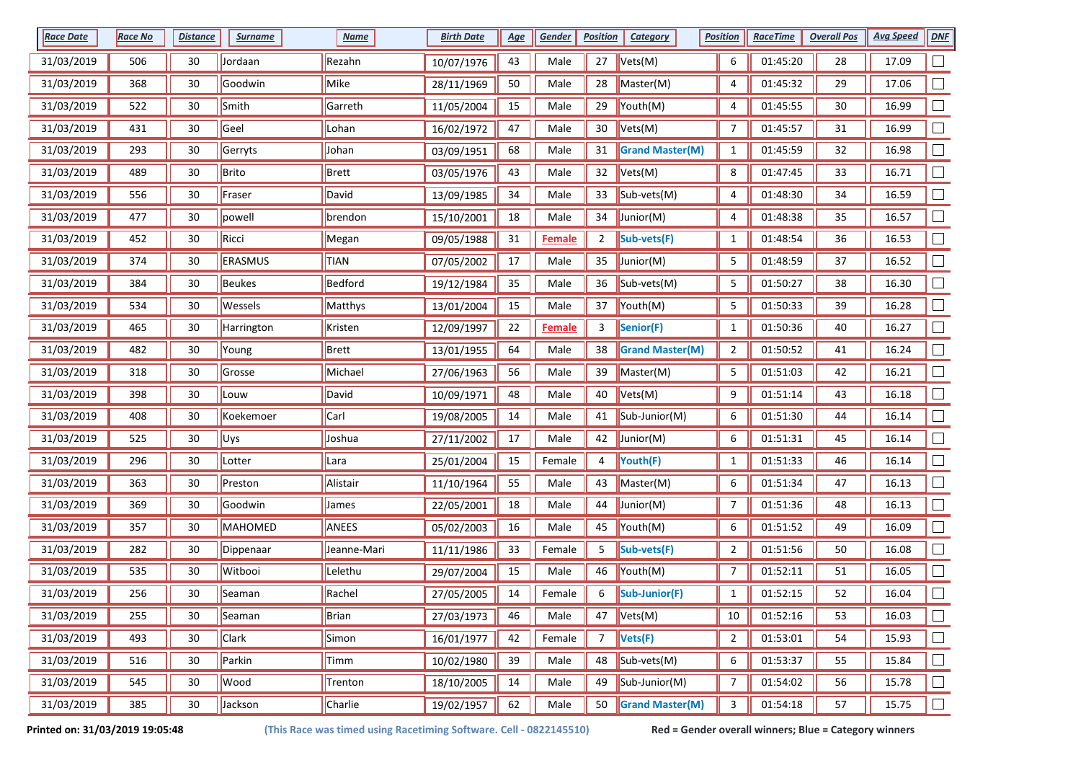| <b>Race Date</b> | <b>Race No</b> | <b>Distance</b> | <b>Surname</b> | <b>Name</b> | <b>Birth Date</b> | <u>Age</u> | Gender        | <b>Position</b> | <b>Category</b>         | <b>Position</b> | <b>RaceTime</b> | <b>Overall Pos</b> | <b>Avg Speed</b> | <b>DNF</b>                  |
|------------------|----------------|-----------------|----------------|-------------|-------------------|------------|---------------|-----------------|-------------------------|-----------------|-----------------|--------------------|------------------|-----------------------------|
| 31/03/2019       | 506            | 30              | Jordaan        | Rezahn      | 10/07/1976        | 43         | Male          | 27              | Vets(M)                 | 6               | 01:45:20        | 28                 | 17.09            |                             |
| 31/03/2019       | 368            | 30              | Goodwin        | Mike        | 28/11/1969        | 50         | Male          | 28              | Master(M)               | 4               | 01:45:32        | 29                 | 17.06            |                             |
| 31/03/2019       | 522            | 30              | Smith          | Garreth     | 11/05/2004        | 15         | Male          | 29              | Youth(M)                | 4               | 01:45:55        | 30                 | 16.99            |                             |
| 31/03/2019       | 431            | 30              | Geel           | Lohan       | 16/02/1972        | 47         | Male          | 30              | Vets(M)                 | 7               | 01:45:57        | 31                 | 16.99            |                             |
| 31/03/2019       | 293            | 30              | Gerryts        | Johan       | 03/09/1951        | 68         | Male          | 31              | <b>Grand Master(M)</b>  | $\mathbf{1}$    | 01:45:59        | 32                 | 16.98            |                             |
| 31/03/2019       | 489            | 30              | Brito          | Brett       | 03/05/1976        | 43         | Male          | 32              | Vets(M)                 | 8               | 01:47:45        | 33                 | 16.71            | $\Box$                      |
| 31/03/2019       | 556            | 30              | Fraser         | David       | 13/09/1985        | 34         | Male          | 33              | Sub-vets(M)             | 4               | 01:48:30        | 34                 | 16.59            |                             |
| 31/03/2019       | 477            | 30              | powell         | brendon     | 15/10/2001        | 18         | Male          | 34              | Junior(M)               | 4               | 01:48:38        | 35                 | 16.57            |                             |
| 31/03/2019       | 452            | 30              | Ricci          | Megan       | 09/05/1988        | 31         | <b>Female</b> | $\overline{2}$  | Sub-vets(F)             | $\mathbf{1}$    | 01:48:54        | 36                 | 16.53            |                             |
| 31/03/2019       | 374            | 30              | ERASMUS        | <b>TIAN</b> | 07/05/2002        | 17         | Male          | 35              | Junior(M)               | 5               | 01:48:59        | 37                 | 16.52            |                             |
| 31/03/2019       | 384            | 30              | <b>Beukes</b>  | Bedford     | 19/12/1984        | 35         | Male          | 36              | Sub-vets(M)             | 5               | 01:50:27        | 38                 | 16.30            |                             |
| 31/03/2019       | 534            | 30              | Wessels        | Matthys     | 13/01/2004        | 15         | Male          | 37              | $\mathsf{Youth}(M)$     | 5               | 01:50:33        | 39                 | 16.28            |                             |
| 31/03/2019       | 465            | 30              | Harrington     | Kristen     | 12/09/1997        | 22         | <b>Female</b> | 3               | Senior(F)               | $\mathbf{1}$    | 01:50:36        | 40                 | 16.27            |                             |
| 31/03/2019       | 482            | 30              | Young          | Brett       | 13/01/1955        | 64         | Male          | 38              | <b>Grand Master(M)</b>  | $\overline{2}$  | 01:50:52        | 41                 | 16.24            |                             |
| 31/03/2019       | 318            | 30              | Grosse         | Michael     | 27/06/1963        | 56         | Male          | 39              | Master(M)               | 5               | 01:51:03        | 42                 | 16.21            |                             |
| 31/03/2019       | 398            | 30              | Louw           | David       | 10/09/1971        | 48         | Male          | 40              | Vets(M)                 | 9               | 01:51:14        | 43                 | 16.18            |                             |
| 31/03/2019       | 408            | 30              | Koekemoer      | Carl        | 19/08/2005        | 14         | Male          | 41              | Sub-Junior(M)           | 6               | 01:51:30        | 44                 | 16.14            |                             |
| 31/03/2019       | 525            | 30              | Uys            | Joshua      | 27/11/2002        | 17         | Male          | 42              | Junior(M)               | 6               | 01:51:31        | 45                 | 16.14            |                             |
| 31/03/2019       | 296            | 30              | Lotter         | Lara        | 25/01/2004        | 15         | Female        | 4               | Youth(F)                | $\mathbf{1}$    | 01:51:33        | 46                 | 16.14            |                             |
| 31/03/2019       | 363            | 30              | Preston        | Alistair    | 11/10/1964        | 55         | Male          | 43              | Master(M)               | 6               | 01:51:34        | 47                 | 16.13            |                             |
| 31/03/2019       | 369            | 30              | Goodwin        | James       | 22/05/2001        | 18         | Male          | 44              | Junior(M)               | 7               | 01:51:36        | 48                 | 16.13            |                             |
| 31/03/2019       | 357            | 30              | MAHOMED        | ANEES       | 05/02/2003        | 16         | Male          | 45              | Youth(M)                | 6               | 01:51:52        | 49                 | 16.09            |                             |
| 31/03/2019       | 282            | 30              | Dippenaar      | Jeanne-Mari | 11/11/1986        | 33         | Female        | 5               | Sub-vets(F)             | $\overline{2}$  | 01:51:56        | 50                 | 16.08            |                             |
| 31/03/2019       | 535            | 30              | Witbooi        | Lelethu     | 29/07/2004        | 15         | Male          | 46              | Youth(M)                | 7               | 01:52:11        | 51                 | 16.05            |                             |
| 31/03/2019       | 256            | 30              | Seaman         | Rachel      | 27/05/2005        | 14         | Female        | 6               | Sub-Junior(F)           | $\mathbf{1}$    | 01:52:15        | 52                 | 16.04            |                             |
| 31/03/2019       | 255            | 30              | Seaman         | Brian       | 27/03/1973        | 46         | Male          | 47              | $\sqrt{\text{Vets}(M)}$ | 10              | 01:52:16        | 53                 | 16.03            |                             |
| 31/03/2019       | 493            | 30              | <b>Clark</b>   | Simon       | 16/01/1977        | 42         | Female        | $\overline{7}$  | Vets(F)                 | $\overline{2}$  | 01:53:01        | 54                 | 15.93            | $\mathcal{L}_{\mathcal{A}}$ |
| 31/03/2019       | 516            | 30              | Parkin         | Timm        | 10/02/1980        | 39         | Male          | 48              | Sub-vets(M)             | 6               | 01:53:37        | 55                 | 15.84            | $\Box$                      |
| 31/03/2019       | 545            | 30              | Wood           | Trenton     | 18/10/2005        | 14         | Male          | 49              | Sub-Junior(M)           | $\overline{7}$  | 01:54:02        | 56                 | 15.78            |                             |
| 31/03/2019       | 385            | 30              | Jackson        | Charlie     | 19/02/1957        | 62         | Male          | 50              | <b>Grand Master(M)</b>  | 3               | 01:54:18        | 57                 | 15.75            | $\Box$                      |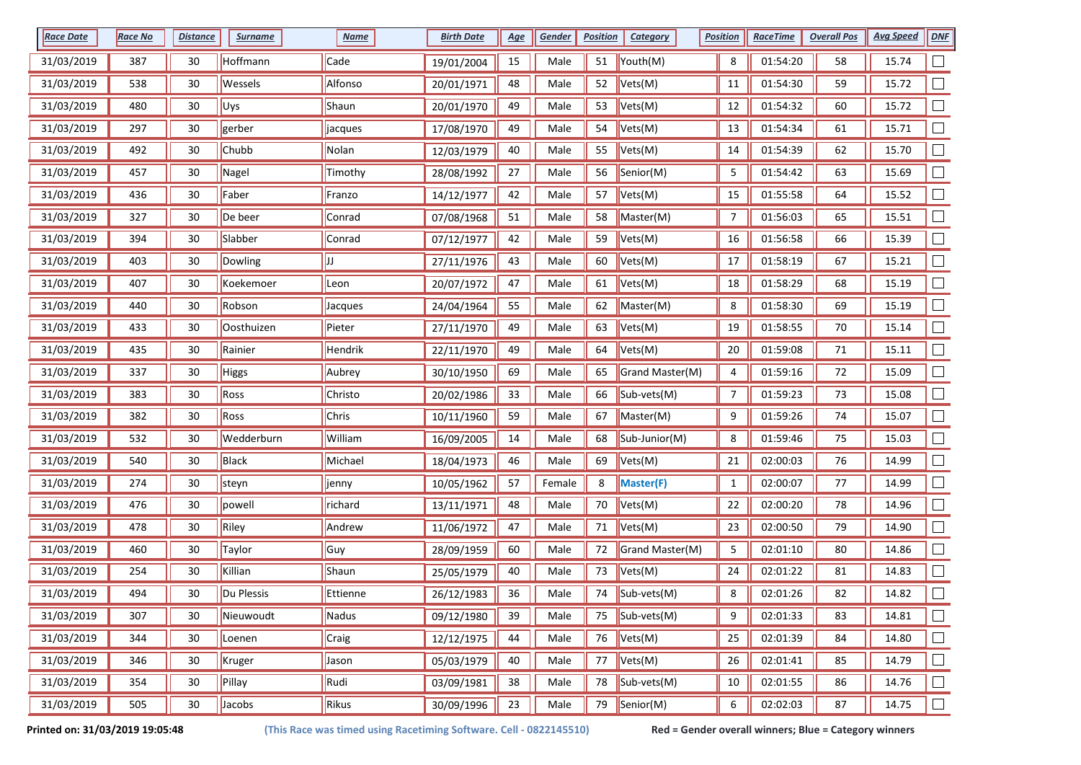| <b>Race Date</b> | <b>Race No</b> | <b>Distance</b> | <b>Surname</b> | <b>Name</b>  | <b>Birth Date</b> | <u>Age</u> | Gender | <b>Position</b> | <b>Category</b>                            | <b>Position</b> | <b>RaceTime</b> | <b>Overall Pos</b> | <b>Avg Speed</b> | <b>DNF</b>     |
|------------------|----------------|-----------------|----------------|--------------|-------------------|------------|--------|-----------------|--------------------------------------------|-----------------|-----------------|--------------------|------------------|----------------|
| 31/03/2019       | 387            | 30              | Hoffmann       | Cade         | 19/01/2004        | 15         | Male   | 51              | Youth(M)                                   | 8               | 01:54:20        | 58                 | 15.74            |                |
| 31/03/2019       | 538            | 30              | Wessels        | Alfonso      | 20/01/1971        | 48         | Male   | 52              | Vets(M)                                    | 11              | 01:54:30        | 59                 | 15.72            |                |
| 31/03/2019       | 480            | 30              | Uys            | Shaun        | 20/01/1970        | 49         | Male   | 53              | Vets(M)                                    | 12              | 01:54:32        | 60                 | 15.72            |                |
| 31/03/2019       | 297            | 30              | gerber         | jacques      | 17/08/1970        | 49         | Male   | 54              | Vets(M)                                    | 13              | 01:54:34        | 61                 | 15.71            |                |
| 31/03/2019       | 492            | 30              | Chubb          | Nolan        | 12/03/1979        | 40         | Male   | 55              | Vets(M)                                    | 14              | 01:54:39        | 62                 | 15.70            |                |
| 31/03/2019       | 457            | 30              | Nagel          | Timothy      | 28/08/1992        | 27         | Male   | 56              | Senior(M)                                  | 5               | 01:54:42        | 63                 | 15.69            | $\Box$         |
| 31/03/2019       | 436            | 30              | Faber          | Franzo       | 14/12/1977        | 42         | Male   | 57              | Vets(M)                                    | 15              | 01:55:58        | 64                 | 15.52            |                |
| 31/03/2019       | 327            | 30              | De beer        | Conrad       | 07/08/1968        | 51         | Male   | 58              | Master(M)                                  | $\overline{7}$  | 01:56:03        | 65                 | 15.51            |                |
| 31/03/2019       | 394            | 30              | Slabber        | Conrad       | 07/12/1977        | 42         | Male   | 59              | Vets(M)                                    | 16              | 01:56:58        | 66                 | 15.39            |                |
| 31/03/2019       | 403            | 30              | Dowling        | ונן          | 27/11/1976        | 43         | Male   | 60              | Vets(M)                                    | 17              | 01:58:19        | 67                 | 15.21            |                |
| 31/03/2019       | 407            | 30              | Koekemoer      | Leon         | 20/07/1972        | 47         | Male   | 61              | Vets(M)                                    | 18              | 01:58:29        | 68                 | 15.19            |                |
| 31/03/2019       | 440            | 30              | Robson         | Jacques      | 24/04/1964        | 55         | Male   | 62              | Master(M)                                  | 8               | 01:58:30        | 69                 | 15.19            |                |
| 31/03/2019       | 433            | 30              | Oosthuizen     | Pieter       | 27/11/1970        | 49         | Male   | 63              | Vets(M)                                    | 19              | 01:58:55        | 70                 | 15.14            |                |
| 31/03/2019       | 435            | 30              | Rainier        | Hendrik      | 22/11/1970        | 49         | Male   | 64              | Vets(M)                                    | 20              | 01:59:08        | 71                 | 15.11            |                |
| 31/03/2019       | 337            | 30              | Higgs          | Aubrey       | 30/10/1950        | 69         | Male   | 65              | Grand Master(M)                            | 4               | 01:59:16        | 72                 | 15.09            |                |
| 31/03/2019       | 383            | 30              | Ross           | Christo      | 20/02/1986        | 33         | Male   | 66              | Sub-vets(M)                                | 7               | 01:59:23        | 73                 | 15.08            |                |
| 31/03/2019       | 382            | 30              | Ross           | Chris        | 10/11/1960        | 59         | Male   | 67              | Master(M)                                  | 9               | 01:59:26        | 74                 | 15.07            |                |
| 31/03/2019       | 532            | 30              | Wedderburn     | William      | 16/09/2005        | 14         | Male   | 68              | Sub-Junior(M)                              | 8               | 01:59:46        | 75                 | 15.03            |                |
| 31/03/2019       | 540            | 30              | Black          | Michael      | 18/04/1973        | 46         | Male   | 69              | Vets(M)                                    | 21              | 02:00:03        | 76                 | 14.99            |                |
| 31/03/2019       | 274            | 30              | steyn          | <b>jenny</b> | 10/05/1962        | 57         | Female | 8               | Master(F)                                  | $\mathbf{1}$    | 02:00:07        | 77                 | 14.99            |                |
| 31/03/2019       | 476            | 30              | powell         | richard      | 13/11/1971        | 48         | Male   | 70              | Vets(M)                                    | 22              | 02:00:20        | 78                 | 14.96            |                |
| 31/03/2019       | 478            | 30              | Riley          | Andrew       | 11/06/1972        | 47         | Male   | 71              | Vets(M)                                    | 23              | 02:00:50        | 79                 | 14.90            |                |
| 31/03/2019       | 460            | 30              | Taylor         | Guy          | 28/09/1959        | 60         | Male   | 72              | Grand Master(M)                            | 5               | 02:01:10        | 80                 | 14.86            |                |
| 31/03/2019       | 254            | 30              | Killian        | Shaun        | 25/05/1979        | 40         | Male   | 73              | Vets(M)                                    | 24              | 02:01:22        | 81                 | 14.83            |                |
| 31/03/2019       | 494            | 30              | Du Plessis     | Ettienne     | 26/12/1983        | 36         | Male   | 74              | Sub-vets(M)                                | 8               | 02:01:26        | 82                 | 14.82            |                |
| 31/03/2019       | 307            | 30              | Nieuwoudt      | Nadus        | 09/12/1980        | 39         | Male   | 75              | $\left  \text{Sub-vets}(\text{M}) \right $ | 9               | 02:01:33        | 83                 | 14.81            | $\Box$         |
| 31/03/2019       | 344            | 30              | Loenen         | Craig        | 12/12/1975        | 44         | Male   | 76              | Vets(M)                                    | 25              | 02:01:39        | 84                 | 14.80            | $\mathbb{R}^n$ |
| 31/03/2019       | 346            | 30              | Kruger         | Jason        | 05/03/1979        | 40         | Male   | 77              | $\vert$ Vets(M)                            | 26              | 02:01:41        | 85                 | 14.79            |                |
| 31/03/2019       | 354            | 30              | Pillay         | Rudi         | 03/09/1981        | 38         | Male   | 78              | Sub-vets(M)                                | 10              | 02:01:55        | 86                 | 14.76            |                |
| 31/03/2019       | 505            | 30              | Jacobs         | Rikus        | 30/09/1996        | 23         | Male   | 79              | Senior(M)                                  | 6               | 02:02:03        | 87                 | 14.75            | $\Box$         |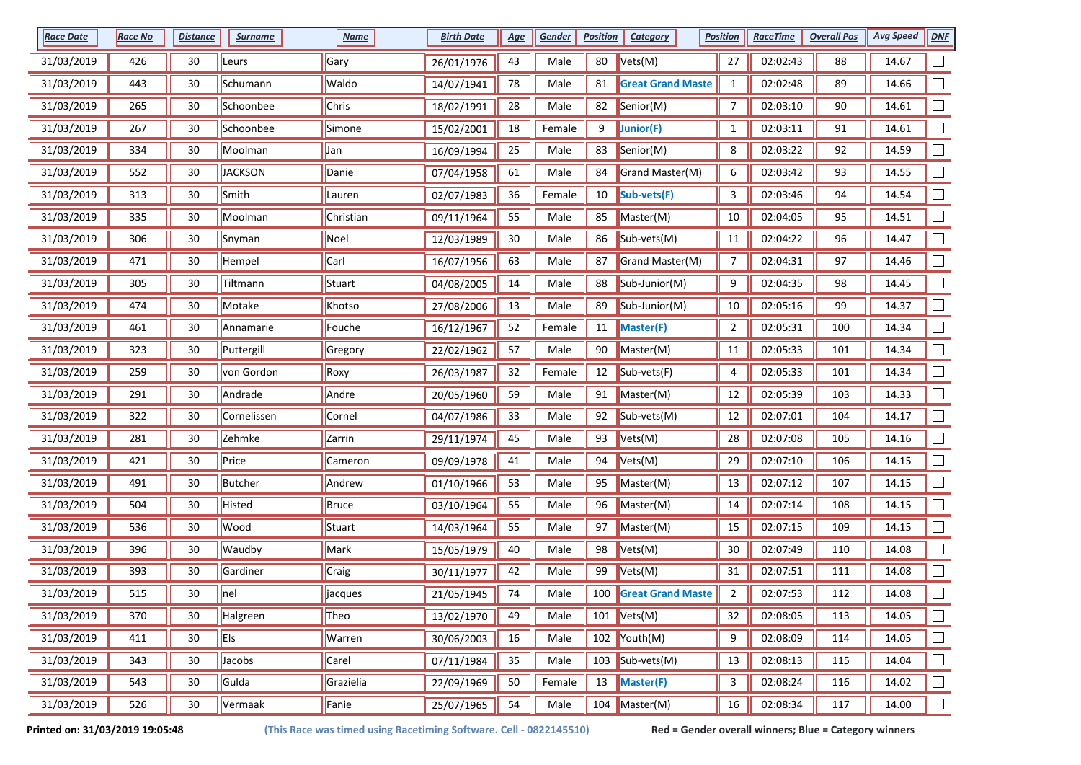| <b>Race Date</b> | <b>Race No</b> | <b>Distance</b> | <b>Surname</b> | <b>Name</b>  | <b>Birth Date</b> | <u>Age</u> | <b>Gender</b> | <b>Position</b> | <b>Category</b>              | <b>Position</b> | <b>RaceTime</b> | <b>Overall Pos</b> | <b>Avg Speed</b> | <b>DNF</b> |
|------------------|----------------|-----------------|----------------|--------------|-------------------|------------|---------------|-----------------|------------------------------|-----------------|-----------------|--------------------|------------------|------------|
| 31/03/2019       | 426            | 30              | Leurs          | Gary         | 26/01/1976        | 43         | Male          | 80              | Vets(M)                      | 27              | 02:02:43        | 88                 | 14.67            |            |
| 31/03/2019       | 443            | 30              | Schumann       | Waldo        | 14/07/1941        | 78         | Male          | 81              | <b>Great Grand Maste</b>     | $\mathbf{1}$    | 02:02:48        | 89                 | 14.66            |            |
| 31/03/2019       | 265            | 30              | Schoonbee      | Chris        | 18/02/1991        | 28         | Male          | 82              | Senior(M)                    | $\overline{7}$  | 02:03:10        | 90                 | 14.61            | ⊏          |
| 31/03/2019       | 267            | 30              | Schoonbee      | Simone       | 15/02/2001        | 18         | Female        | 9               | Junior(F)                    | $\mathbf{1}$    | 02:03:11        | 91                 | 14.61            |            |
| 31/03/2019       | 334            | 30              | Moolman        | Jan          | 16/09/1994        | 25         | Male          | 83              | Senior(M)                    | 8               | 02:03:22        | 92                 | 14.59            |            |
| 31/03/2019       | 552            | 30              | <b>JACKSON</b> | Danie        | 07/04/1958        | 61         | Male          | 84              | Grand Master(M)              | 6               | 02:03:42        | 93                 | 14.55            | $\Box$     |
| 31/03/2019       | 313            | 30              | Smith          | Lauren       | 02/07/1983        | 36         | Female        | 10              | Sub-vets(F)                  | 3               | 02:03:46        | 94                 | 14.54            | $\Box$     |
| 31/03/2019       | 335            | 30              | Moolman        | Christian    | 09/11/1964        | 55         | Male          | 85              | Master(M)                    | 10              | 02:04:05        | 95                 | 14.51            | $\Box$     |
| 31/03/2019       | 306            | 30              | Snyman         | Noel         | 12/03/1989        | 30         | Male          | 86              | Sub-vets(M)                  | $11\,$          | 02:04:22        | 96                 | 14.47            |            |
| 31/03/2019       | 471            | 30              | Hempel         | Carl         | 16/07/1956        | 63         | Male          | 87              | Grand Master(M)              | 7               | 02:04:31        | 97                 | 14.46            |            |
| 31/03/2019       | 305            | 30              | Tiltmann       | Stuart       | 04/08/2005        | 14         | Male          | 88              | Sub-Junior(M)                | 9               | 02:04:35        | 98                 | 14.45            | $\Box$     |
| 31/03/2019       | 474            | 30              | Motake         | Khotso       | 27/08/2006        | 13         | Male          | 89              | Sub-Junior(M)                | 10              | 02:05:16        | 99                 | 14.37            |            |
| 31/03/2019       | 461            | 30              | Annamarie      | Fouche       | 16/12/1967        | 52         | Female        | 11              | Master(F)                    | $\overline{2}$  | 02:05:31        | 100                | 14.34            |            |
| 31/03/2019       | 323            | 30              | Puttergill     | Gregory      | 22/02/1962        | 57         | Male          | 90              | Master(M)                    | 11              | 02:05:33        | 101                | 14.34            | $\Box$     |
| 31/03/2019       | 259            | 30              | von Gordon     | Roxy         | 26/03/1987        | 32         | Female        | 12              | Sub-vets(F)                  | 4               | 02:05:33        | 101                | 14.34            | $\Box$     |
| 31/03/2019       | 291            | 30              | Andrade        | Andre        | 20/05/1960        | 59         | Male          | 91              | Master(M)                    | 12              | 02:05:39        | 103                | 14.33            |            |
| 31/03/2019       | 322            | 30              | Cornelissen    | Cornel       | 04/07/1986        | 33         | Male          | 92              | Sub-vets(M)                  | 12              | 02:07:01        | 104                | 14.17            |            |
| 31/03/2019       | 281            | 30              | Zehmke         | Zarrin       | 29/11/1974        | 45         | Male          | 93              | Vets(M)                      | 28              | 02:07:08        | 105                | 14.16            |            |
| 31/03/2019       | 421            | 30              | Price          | Cameron      | 09/09/1978        | 41         | Male          | 94              | Vets(M)                      | 29              | 02:07:10        | 106                | 14.15            |            |
| 31/03/2019       | 491            | 30              | <b>Butcher</b> | Andrew       | 01/10/1966        | 53         | Male          | 95              | Master(M)                    | 13              | 02:07:12        | 107                | 14.15            |            |
| 31/03/2019       | 504            | 30              | Histed         | <b>Bruce</b> | 03/10/1964        | 55         | Male          | 96              | Master(M)                    | 14              | 02:07:14        | 108                | 14.15            |            |
| 31/03/2019       | 536            | 30              | Wood           | Stuart       | 14/03/1964        | 55         | Male          | 97              | Master(M)                    | 15              | 02:07:15        | 109                | 14.15            | $\Box$     |
| 31/03/2019       | 396            | 30              | Waudby         | Mark         | 15/05/1979        | 40         | Male          | 98              | Vets(M)                      | 30              | 02:07:49        | 110                | 14.08            | $\Box$     |
| 31/03/2019       | 393            | 30              | Gardiner       | Craig        | 30/11/1977        | 42         | Male          | 99              | Vets(M)                      | 31              | 02:07:51        | 111                | 14.08            | $\Box$     |
| 31/03/2019       | 515            | 30              | nel            | jacques      | 21/05/1945        | 74         | Male          | 100             | <b>Great Grand Maste</b>     | $\overline{2}$  | 02:07:53        | 112                | 14.08            |            |
| 31/03/2019       | 370            | 30              | Halgreen       | Theo         | 13/02/1970        | 49         | Male          |                 | 101 $Vets(M)$                | 32              | 02:08:05        | 113                | 14.05            | $\Box$     |
| 31/03/2019       | 411            | 30              | <b>Els</b>     | Warren       | 30/06/2003        | 16         | Male          |                 | 102 $\sqrt{\text{Youth}(M)}$ | 9               | 02:08:09        | 114                | 14.05            | $\Box$     |
| 31/03/2019       | 343            | 30              | Jacobs         | Carel        | 07/11/1984        | 35         | Male          |                 | 103 $\vert$ Sub-vets(M)      | 13              | 02:08:13        | 115                | 14.04            | $\Box$     |
| 31/03/2019       | 543            | 30              | Gulda          | Grazielia    | 22/09/1969        | 50         | Female        | 13              | Master(F)                    | 3               | 02:08:24        | 116                | 14.02            | $\Box$     |
| 31/03/2019       | 526            | 30              | Vermaak        | Fanie        | 25/07/1965        | 54         | Male          |                 | 104 Master(M)                | 16              | 02:08:34        | 117                | 14.00            | $\Box$     |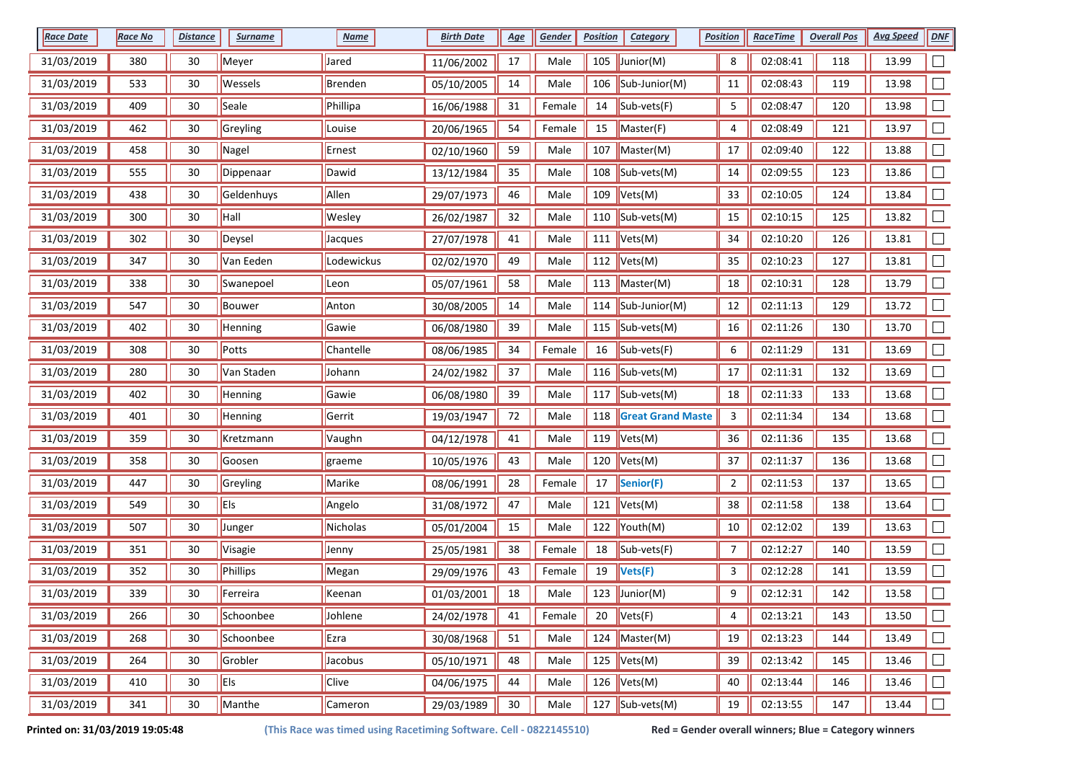| <b>Race Date</b> | Race No | <b>Distance</b> | <b>Surname</b> | <b>Name</b>  | <b>Birth Date</b> | <u>Age</u>      | <b>Gender</b> | <b>Position</b> | Category                                   | <b>Position</b> | <b>RaceTime</b> | <b>Overall Pos</b> | <b>Avg Speed</b> | DNE    |
|------------------|---------|-----------------|----------------|--------------|-------------------|-----------------|---------------|-----------------|--------------------------------------------|-----------------|-----------------|--------------------|------------------|--------|
| 31/03/2019       | 380     | 30              | Meyer          | Jared        | 11/06/2002        | 17              | Male          |                 | 105 $\vert$ Junior(M)                      | 8               | 02:08:41        | 118                | 13.99            |        |
| 31/03/2019       | 533     | 30              | Wessels        | Brenden      | 05/10/2005        | 14              | Male          | 106             | $\vert$ Sub-Junior(M)                      | 11              | 02:08:43        | 119                | 13.98            |        |
| 31/03/2019       | 409     | 30              | Seale          | Phillipa     | 16/06/1988        | 31              | Female        | 14              | Sub-vets(F)                                | 5               | 02:08:47        | 120                | 13.98            |        |
| 31/03/2019       | 462     | 30              | Greyling       | Louise       | 20/06/1965        | 54              | Female        | 15              | Master(F)                                  | 4               | 02:08:49        | 121                | 13.97            |        |
| 31/03/2019       | 458     | 30              | Nagel          | Ernest       | 02/10/1960        | 59              | Male          | 107             | Master(M)                                  | $17\,$          | 02:09:40        | 122                | 13.88            |        |
| 31/03/2019       | 555     | 30              | Dippenaar      | Dawid        | 13/12/1984        | 35              | Male          | 108             | $\left  \text{Sub-vets}(\text{M}) \right $ | 14              | 02:09:55        | 123                | 13.86            |        |
| 31/03/2019       | 438     | 30              | Geldenhuys     | Allen        | 29/07/1973        | 46              | Male          | 109             | Vets(M)                                    | 33              | 02:10:05        | 124                | 13.84            |        |
| 31/03/2019       | 300     | 30              | Hall           | Wesley       | 26/02/1987        | 32              | Male          | 110             | Sub-vets(M)                                | 15              | 02:10:15        | 125                | 13.82            |        |
| 31/03/2019       | 302     | 30              | Deysel         | Jacques      | 27/07/1978        | 41              | Male          | 111             | Vets(M)                                    | 34              | 02:10:20        | 126                | 13.81            |        |
| 31/03/2019       | 347     | 30              | Van Eeden      | Lodewickus   | 02/02/1970        | 49              | Male          | 112             | Vets(M)                                    | 35              | 02:10:23        | 127                | 13.81            |        |
| 31/03/2019       | 338     | 30              | Swanepoel      | Leon         | 05/07/1961        | 58              | Male          |                 | 113  Master(M)                             | 18              | 02:10:31        | 128                | 13.79            |        |
| 31/03/2019       | 547     | 30              | <b>Bouwer</b>  | Anton        | 30/08/2005        | 14              | Male          |                 | 114  Sub-Junior(M)                         | 12              | 02:11:13        | 129                | 13.72            |        |
| 31/03/2019       | 402     | 30              | Henning        | Gawie        | 06/08/1980        | 39              | Male          |                 | 115 $ Sub-vests(M) $                       | 16              | 02:11:26        | 130                | 13.70            |        |
| 31/03/2019       | 308     | 30              | Potts          | Chantelle    | 08/06/1985        | 34              | Female        | 16              | Sub-vets(F)                                | 6               | 02:11:29        | 131                | 13.69            |        |
| 31/03/2019       | 280     | 30              | Van Staden     | Johann       | 24/02/1982        | 37              | Male          |                 | 116 $\vert$ Sub-vets(M)                    | 17              | 02:11:31        | 132                | 13.69            |        |
| 31/03/2019       | 402     | 30              | Henning        | Gawie        | 06/08/1980        | 39              | Male          |                 | 117 $ Sub-vests(M) $                       | 18              | 02:11:33        | 133                | 13.68            |        |
| 31/03/2019       | 401     | 30              | Henning        | Gerrit       | 19/03/1947        | 72              | Male          | 118             | <b>Great Grand Maste</b>                   | 3               | 02:11:34        | 134                | 13.68            |        |
| 31/03/2019       | 359     | 30              | Kretzmann      | Vaughn       | 04/12/1978        | 41              | Male          | 119             | Vets(M)                                    | 36              | 02:11:36        | 135                | 13.68            |        |
| 31/03/2019       | 358     | 30              | Goosen         | graeme       | 10/05/1976        | 43              | Male          |                 | 120 $ Vets(M) $                            | 37              | 02:11:37        | 136                | 13.68            |        |
| 31/03/2019       | 447     | 30              | Greyling       | Marike       | 08/06/1991        | 28              | Female        | 17              | Senior(F)                                  | $\overline{a}$  | 02:11:53        | 137                | 13.65            |        |
| 31/03/2019       | 549     | 30              | Els            | Angelo       | 31/08/1972        | 47              | Male          | 121             | Vets(M)                                    | 38              | 02:11:58        | 138                | 13.64            |        |
| 31/03/2019       | 507     | 30              | Junger         | Nicholas     | 05/01/2004        | 15              | Male          |                 | 122 $\sqrt{\text{Youth}(M)}$               | 10              | 02:12:02        | 139                | 13.63            |        |
| 31/03/2019       | 351     | 30              | Visagie        | Jenny        | 25/05/1981        | 38              | Female        | 18              | Sub-vets(F)                                | $\overline{7}$  | 02:12:27        | 140                | 13.59            |        |
| 31/03/2019       | 352     | 30              | Phillips       | Megan        | 29/09/1976        | 43              | Female        | 19              | Vets(F)                                    | 3               | 02:12:28        | 141                | 13.59            |        |
| 31/03/2019       | 339     | 30              | Ferreira       | Keenan       | 01/03/2001        | 18              | Male          |                 | 123 $ $ Junior(M)                          | 9               | 02:12:31        | 142                | 13.58            |        |
| 31/03/2019       | 266     | 30              | Schoonbee      | Johlene      | 24/02/1978        | 41              | Female        | 20              | Vets(F)                                    | 4               | 02:13:21        | 143                | 13.50            |        |
| 31/03/2019       | 268     | 30              | Schoonbee      | Ezra         | 30/08/1968        | 51              | Male          |                 | 124 Master(M)                              | 19              | 02:13:23        | 144                | 13.49            | $\Box$ |
| 31/03/2019       | 264     | 30              | Grobler        | Jacobus      | 05/10/1971        | 48              | Male          |                 | 125 $Vets(M)$                              | 39              | 02:13:42        | 145                | 13.46            |        |
| 31/03/2019       | 410     | 30              | Els            | <b>Clive</b> | 04/06/1975        | 44              | Male          |                 | 126 $Vets(M)$                              | 40              | 02:13:44        | 146                | 13.46            | $\Box$ |
| 31/03/2019       | 341     | $30\,$          | Manthe         | Cameron      | 29/03/1989        | 30 <sub>o</sub> | Male          |                 | 127 $\sqrt{\text{Sub-vets(M)}}$            | 19              | 02:13:55        | 147                | 13.44            | $\Box$ |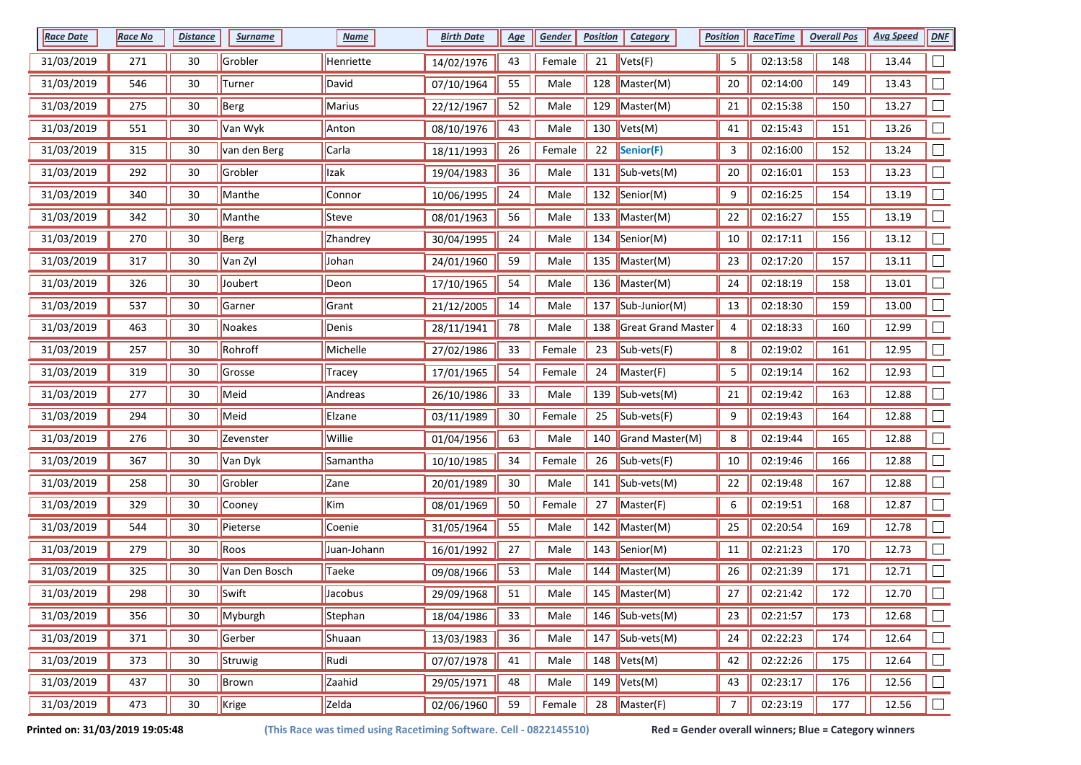| <b>Race Date</b> | <b>Race No</b> | <b>Distance</b> | <b>Surname</b> | <b>Name</b> | <b>Birth Date</b> | <u>Age</u> | Gender | <b>Position</b> | <b>Category</b>                 | <b>Position</b> | <b>RaceTime</b> | <b>Overall Pos</b> | <b>Avg Speed</b> | <b>DNF</b>                  |
|------------------|----------------|-----------------|----------------|-------------|-------------------|------------|--------|-----------------|---------------------------------|-----------------|-----------------|--------------------|------------------|-----------------------------|
| 31/03/2019       | 271            | 30              | Grobler        | Henriette   | 14/02/1976        | 43         | Female | 21              | Vets(F)                         | 5               | 02:13:58        | 148                | 13.44            |                             |
| 31/03/2019       | 546            | 30              | Turner         | David       | 07/10/1964        | 55         | Male   |                 | 128 $M$ aster(M)                | 20              | 02:14:00        | 149                | 13.43            |                             |
| 31/03/2019       | 275            | 30              | Berg           | Marius      | 22/12/1967        | 52         | Male   | 129             | Master(M)                       | 21              | 02:15:38        | 150                | 13.27            |                             |
| 31/03/2019       | 551            | 30              | Van Wyk        | Anton       | 08/10/1976        | 43         | Male   |                 | 130 $ Vets(M) $                 | 41              | 02:15:43        | 151                | 13.26            |                             |
| 31/03/2019       | 315            | 30              | van den Berg   | Carla       | 18/11/1993        | 26         | Female | 22              | Senior(F)                       | 3               | 02:16:00        | 152                | 13.24            |                             |
| 31/03/2019       | 292            | 30              | Grobler        | Izak        | 19/04/1983        | 36         | Male   | 131             | Sub-vets(M)                     | 20              | 02:16:01        | 153                | 13.23            |                             |
| 31/03/2019       | 340            | 30              | Manthe         | Connor      | 10/06/1995        | 24         | Male   | 132             | Senior(M)                       | 9               | 02:16:25        | 154                | 13.19            |                             |
| 31/03/2019       | 342            | 30              | Manthe         | Steve       | 08/01/1963        | 56         | Male   | 133             | Master(M)                       | 22              | 02:16:27        | 155                | 13.19            |                             |
| 31/03/2019       | 270            | 30              | Berg           | Zhandrey    | 30/04/1995        | 24         | Male   |                 | 134 Senior(M)                   | $10\,$          | 02:17:11        | 156                | 13.12            |                             |
| 31/03/2019       | 317            | 30              | Van Zyl        | Johan       | 24/01/1960        | 59         | Male   | 135             | Master(M)                       | 23              | 02:17:20        | 157                | 13.11            |                             |
| 31/03/2019       | 326            | 30              | Joubert        | Deon        | 17/10/1965        | 54         | Male   |                 | 136   Master(M)                 | 24              | 02:18:19        | 158                | 13.01            |                             |
| 31/03/2019       | 537            | 30              | Garner         | Grant       | 21/12/2005        | 14         | Male   |                 | 137 Sub-Junior(M)               | 13              | 02:18:30        | 159                | 13.00            |                             |
| 31/03/2019       | 463            | 30              | Noakes         | Denis       | 28/11/1941        | 78         | Male   | 138             | Great Grand Master              | 4               | 02:18:33        | 160                | 12.99            |                             |
| 31/03/2019       | 257            | 30              | Rohroff        | Michelle    | 27/02/1986        | 33         | Female | 23              | Sub-vets(F)                     | 8               | 02:19:02        | 161                | 12.95            | $\Box$                      |
| 31/03/2019       | 319            | 30              | Grosse         | Tracey      | 17/01/1965        | 54         | Female | 24              | Master(F)                       | 5               | 02:19:14        | 162                | 12.93            |                             |
| 31/03/2019       | 277            | 30              | Meid           | Andreas     | 26/10/1986        | 33         | Male   | 139             | $\vert$ Sub-vets(M)             | 21              | 02:19:42        | 163                | 12.88            |                             |
| 31/03/2019       | 294            | 30              | Meid           | Elzane      | 03/11/1989        | $30\,$     | Female | 25              | Sub-vets(F)                     | 9               | 02:19:43        | 164                | 12.88            |                             |
| 31/03/2019       | 276            | 30              | Zevenster      | Willie      | 01/04/1956        | 63         | Male   | 140             | Grand Master(M)                 | 8               | 02:19:44        | 165                | 12.88            |                             |
| 31/03/2019       | 367            | 30              | Van Dyk        | Samantha    | 10/10/1985        | 34         | Female | 26              | Sub-vets(F)                     | 10              | 02:19:46        | 166                | 12.88            |                             |
| 31/03/2019       | 258            | 30              | Grobler        | Zane        | 20/01/1989        | 30         | Male   |                 | 141 $\vert$ Sub-vets(M)         | 22              | 02:19:48        | 167                | 12.88            |                             |
| 31/03/2019       | 329            | 30              | Cooney         | Kim         | 08/01/1969        | 50         | Female | 27              | Master(F)                       | 6               | 02:19:51        | 168                | 12.87            |                             |
| 31/03/2019       | 544            | 30              | Pieterse       | Coenie      | 31/05/1964        | 55         | Male   | 142             | Master(M)                       | 25              | 02:20:54        | 169                | 12.78            |                             |
| 31/03/2019       | 279            | 30              | Roos           | Juan-Johann | 16/01/1992        | 27         | Male   | 143             | Senior(M)                       | 11              | 02:21:23        | 170                | 12.73            |                             |
| 31/03/2019       | 325            | 30              | Van Den Bosch  | Taeke       | 09/08/1966        | 53         | Male   | 144             | Master(M)                       | 26              | 02:21:39        | 171                | 12.71            |                             |
| 31/03/2019       | 298            | 30              | Swift          | Jacobus     | 29/09/1968        | 51         | Male   | 145             | $\blacksquare$ Master(M)        | 27              | 02:21:42        | 172                | 12.70            |                             |
| 31/03/2019       | 356            | 30              | Myburgh        | Stephan     | 18/04/1986        | 33         | Male   |                 | 146 $\sqrt{\text{Sub-vets(M)}}$ | 23              | 02:21:57        | 173                | 12.68            | $\Box$                      |
| 31/03/2019       | 371            | 30              | Gerber         | Shuaan      | 13/03/1983        | 36         | Male   |                 | $\boxed{147}$ Sub-vets(M)       | 24              | 02:22:23        | 174                | 12.64            | $\mathcal{L}_{\mathcal{A}}$ |
| 31/03/2019       | 373            | 30              | Struwig        | Rudi        | 07/07/1978        | 41         | Male   |                 | $148$ Vets(M)                   | 42              | 02:22:26        | 175                | 12.64            | $\Box$                      |
| 31/03/2019       | 437            | 30              | Brown          | Zaahid      | 29/05/1971        | 48         | Male   |                 | 149 $ Vets(M) $                 | 43              | 02:23:17        | 176                | 12.56            |                             |
| 31/03/2019       | 473            | 30              | Krige          | Zelda       | 02/06/1960        | 59         | Female | 28              | Master(F)                       | $\overline{7}$  | 02:23:19        | 177                | 12.56            | $\Box$                      |

**Printed on: 31/03/2019 19:05:48 (This Race was timed using Racetiming Software. Cell - 0822145510) Red = Gender overall winners; Blue = Category winners**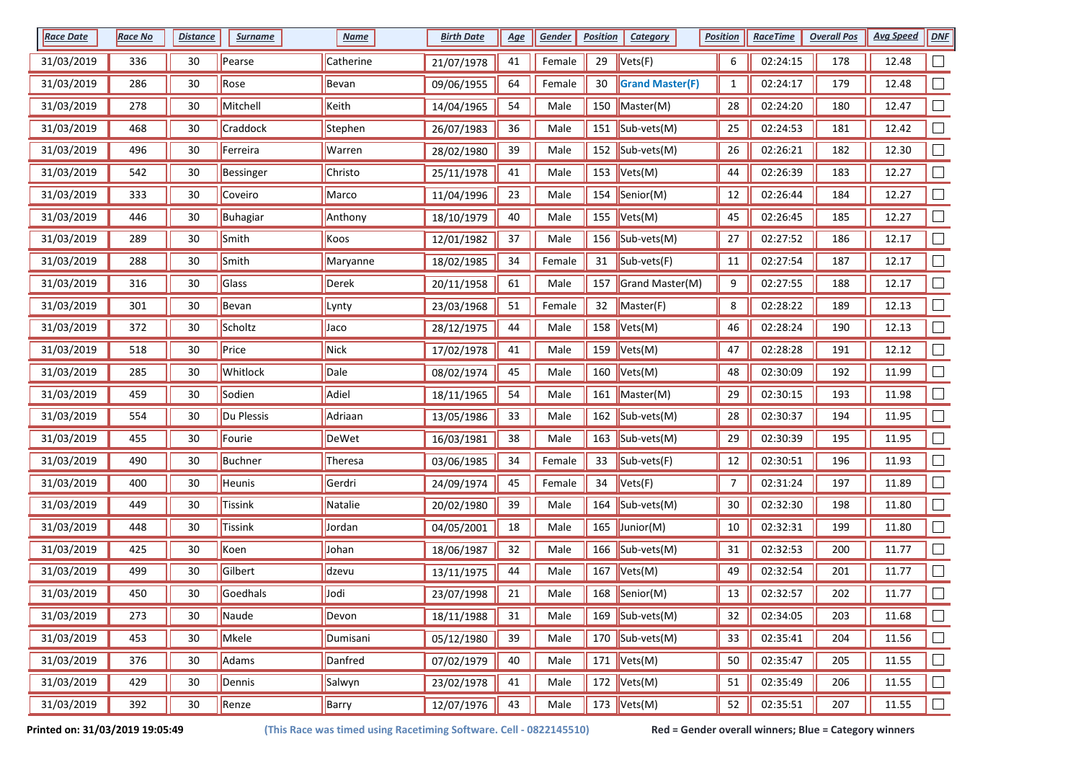| <b>Race Date</b> | <b>Race No</b> | <b>Distance</b> | <b>Surname</b> | <b>Name</b> | <b>Birth Date</b> | <u>Age</u> | Gender | <b>Position</b> | <b>Category</b>                 | <b>Position</b> | <b>RaceTime</b> | <b>Overall Pos</b> | <b>Avg Speed</b> | <b>DNF</b>     |
|------------------|----------------|-----------------|----------------|-------------|-------------------|------------|--------|-----------------|---------------------------------|-----------------|-----------------|--------------------|------------------|----------------|
| 31/03/2019       | 336            | 30              | Pearse         | Catherine   | 21/07/1978        | 41         | Female | 29              | Vets(F)                         | 6               | 02:24:15        | 178                | 12.48            |                |
| 31/03/2019       | 286            | 30              | Rose           | Bevan       | 09/06/1955        | 64         | Female | 30              | <b>Grand Master(F)</b>          | $\mathbf{1}$    | 02:24:17        | 179                | 12.48            |                |
| 31/03/2019       | 278            | 30              | Mitchell       | Keith       | 14/04/1965        | 54         | Male   | 150             | Master(M)                       | 28              | 02:24:20        | 180                | 12.47            |                |
| 31/03/2019       | 468            | 30              | Craddock       | Stephen     | 26/07/1983        | 36         | Male   |                 | 151  Sub-vets(M)                | 25              | 02:24:53        | 181                | 12.42            |                |
| 31/03/2019       | 496            | 30              | Ferreira       | Warren      | 28/02/1980        | 39         | Male   |                 | 152 $ Sub-vest(M) $             | 26              | 02:26:21        | 182                | 12.30            |                |
| 31/03/2019       | 542            | 30              | Bessinger      | Christo     | 25/11/1978        | 41         | Male   |                 | 153 $ Vets(M) $                 | 44              | 02:26:39        | 183                | 12.27            | $\Box$         |
| 31/03/2019       | 333            | 30              | Coveiro        | Marco       | 11/04/1996        | 23         | Male   |                 | 154  Senior(M)                  | 12              | 02:26:44        | 184                | 12.27            |                |
| 31/03/2019       | 446            | 30              | Buhagiar       | Anthony     | 18/10/1979        | 40         | Male   | 155             | Vets(M)                         | 45              | 02:26:45        | 185                | 12.27            |                |
| 31/03/2019       | 289            | 30              | Smith          | Koos        | 12/01/1982        | 37         | Male   |                 | 156 $\sqrt{\text{Sub-vets(M)}}$ | 27              | 02:27:52        | 186                | 12.17            |                |
| 31/03/2019       | 288            | 30              | Smith          | Maryanne    | 18/02/1985        | 34         | Female | 31              | Sub-vets(F)                     | 11              | 02:27:54        | 187                | 12.17            |                |
| 31/03/2019       | 316            | 30              | Glass          | Derek       | 20/11/1958        | 61         | Male   |                 | 157 Grand Master(M)             | 9               | 02:27:55        | 188                | 12.17            |                |
| 31/03/2019       | 301            | 30              | Bevan          | Lynty       | 23/03/1968        | 51         | Female | 32              | Master(F)                       | 8               | 02:28:22        | 189                | 12.13            |                |
| 31/03/2019       | 372            | 30              | Scholtz        | Jaco        | 28/12/1975        | 44         | Male   |                 | 158 $ Vets(M) $                 | 46              | 02:28:24        | 190                | 12.13            |                |
| 31/03/2019       | 518            | 30              | Price          | Nick        | 17/02/1978        | 41         | Male   | 159             | Vets(M)                         | 47              | 02:28:28        | 191                | 12.12            |                |
| 31/03/2019       | 285            | 30              | Whitlock       | Dale        | 08/02/1974        | 45         | Male   | 160             | Vets(M)                         | 48              | 02:30:09        | 192                | 11.99            |                |
| 31/03/2019       | 459            | 30              | Sodien         | Adiel       | 18/11/1965        | 54         | Male   | 161             | Master(M)                       | 29              | 02:30:15        | 193                | 11.98            |                |
| 31/03/2019       | 554            | 30              | Du Plessis     | Adriaan     | 13/05/1986        | 33         | Male   | 162             | $\vert$ Sub-vets(M)             | 28              | 02:30:37        | 194                | 11.95            |                |
| 31/03/2019       | 455            | 30              | Fourie         | DeWet       | 16/03/1981        | 38         | Male   |                 | 163 Sub-vets(M)                 | 29              | 02:30:39        | 195                | 11.95            |                |
| 31/03/2019       | 490            | 30              | <b>Buchner</b> | Theresa     | 03/06/1985        | 34         | Female | 33              | $\vert$ Sub-vets(F)             | 12              | 02:30:51        | 196                | 11.93            |                |
| 31/03/2019       | 400            | 30              | Heunis         | Gerdri      | 24/09/1974        | 45         | Female | 34              | Vets(F)                         | $\overline{7}$  | 02:31:24        | 197                | 11.89            |                |
| 31/03/2019       | 449            | 30              | Tissink        | Natalie     | 20/02/1980        | 39         | Male   |                 | 164 $\sqrt{\text{Sub-vets(M)}}$ | $30\,$          | 02:32:30        | 198                | 11.80            |                |
| 31/03/2019       | 448            | 30              | Tissink        | Jordan      | 04/05/2001        | 18         | Male   | 165             | $\vert$ Junior(M)               | $10\,$          | 02:32:31        | 199                | 11.80            |                |
| 31/03/2019       | 425            | 30              | Koen           | Johan       | 18/06/1987        | 32         | Male   |                 | 166 $\sqrt{\text{Sub-vets(M)}}$ | 31              | 02:32:53        | 200                | 11.77            |                |
| 31/03/2019       | 499            | 30              | Gilbert        | dzevu       | 13/11/1975        | 44         | Male   | 167             | Vets(M)                         | 49              | 02:32:54        | 201                | 11.77            |                |
| 31/03/2019       | 450            | 30              | Goedhals       | Jodi        | 23/07/1998        | 21         | Male   |                 | 168  Senior(M)                  | 13              | 02:32:57        | 202                | 11.77            |                |
| 31/03/2019       | 273            | 30              | Naude          | Devon       | 18/11/1988        | 31         | Male   |                 | 169 $\sqrt{\text{Sub-vets(M)}}$ | 32              | 02:34:05        | 203                | 11.68            |                |
| 31/03/2019       | 453            | 30              | Mkele          | Dumisani    | 05/12/1980        | 39         | Male   |                 | $\overline{170}$ Sub-vets(M)    | 33              | 02:35:41        | 204                | 11.56            | $\mathbb{R}^n$ |
| 31/03/2019       | 376            | 30              | Adams          | Danfred     | 07/02/1979        | 40         | Male   |                 | 171 $Vets(M)$                   | 50              | 02:35:47        | 205                | 11.55            |                |
| 31/03/2019       | 429            | 30              | Dennis         | Salwyn      | 23/02/1978        | 41         | Male   |                 | 172 $Vets(M)$                   | 51              | 02:35:49        | 206                | 11.55            |                |
| 31/03/2019       | 392            | 30              | Renze          | Barry       | 12/07/1976        | 43         | Male   |                 | 173 $Vets(M)$                   | 52              | 02:35:51        | 207                | 11.55            | $\Box$         |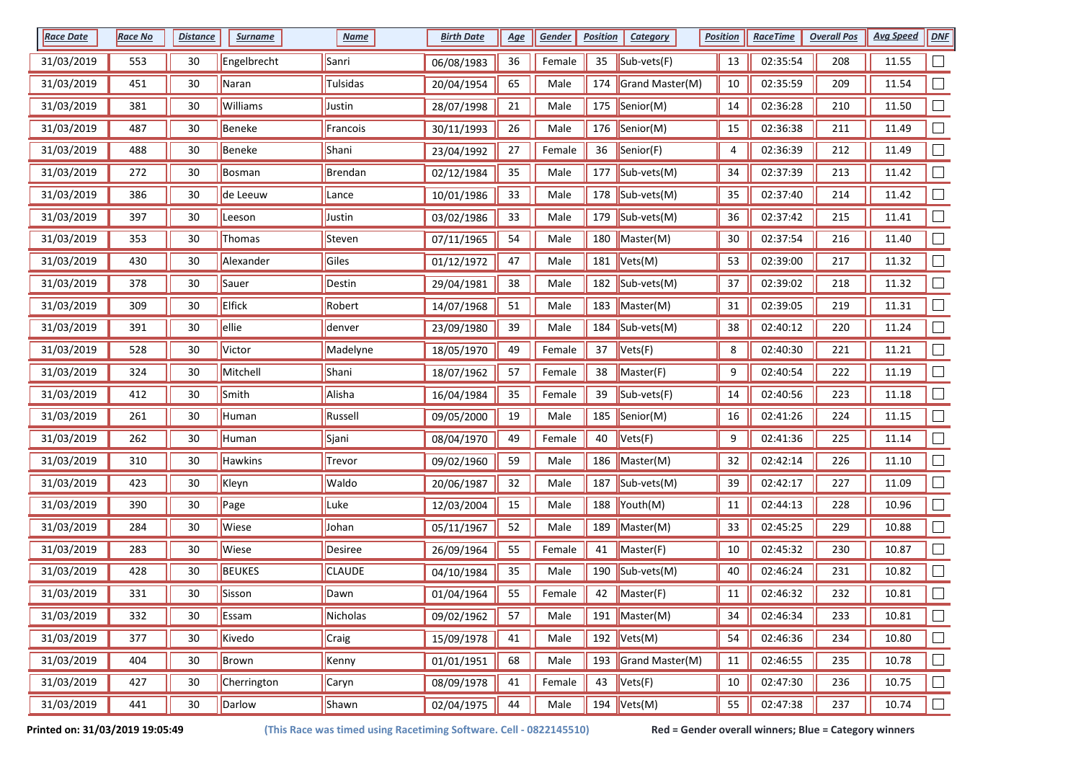| <b>Race Date</b> | <b>Race No</b> | <b>Distance</b> | <b>Surname</b> | <b>Name</b>    | <b>Birth Date</b> | <u>Age</u> | Gender | <b>Position</b> | <b>Category</b>                    | <b>Position</b> | <b>RaceTime</b> | <b>Overall Pos</b> | <b>Avg Speed</b> | <b>DNF</b>                  |
|------------------|----------------|-----------------|----------------|----------------|-------------------|------------|--------|-----------------|------------------------------------|-----------------|-----------------|--------------------|------------------|-----------------------------|
| 31/03/2019       | 553            | 30              | Engelbrecht    | Sanri          | 06/08/1983        | 36         | Female | 35              | Sub-vets(F)                        | 13              | 02:35:54        | 208                | 11.55            |                             |
| 31/03/2019       | 451            | 30              | Naran          | Tulsidas       | 20/04/1954        | 65         | Male   | 174             | Grand Master(M)                    | 10              | 02:35:59        | 209                | 11.54            |                             |
| 31/03/2019       | 381            | 30              | Williams       | Justin         | 28/07/1998        | 21         | Male   |                 | 175  Senior(M)                     | 14              | 02:36:28        | 210                | 11.50            |                             |
| 31/03/2019       | 487            | 30              | Beneke         | Francois       | 30/11/1993        | 26         | Male   |                 | 176  Senior(M)                     | 15              | 02:36:38        | 211                | 11.49            |                             |
| 31/03/2019       | 488            | 30              | Beneke         | Shani          | 23/04/1992        | 27         | Female | 36              | Senior(F)                          | 4               | 02:36:39        | 212                | 11.49            |                             |
| 31/03/2019       | 272            | 30              | Bosman         | Brendan        | 02/12/1984        | 35         | Male   | 177             | $\vert$ Sub-vets(M)                | 34              | 02:37:39        | 213                | 11.42            |                             |
| 31/03/2019       | 386            | 30              | de Leeuw       | Lance          | 10/01/1986        | 33         | Male   |                 | 178 Sub-vets(M)                    | 35              | 02:37:40        | 214                | 11.42            |                             |
| 31/03/2019       | 397            | 30              | Leeson         | Justin         | 03/02/1986        | 33         | Male   | 179             | $\vert$ Sub-vets(M)                | 36              | 02:37:42        | 215                | 11.41            |                             |
| 31/03/2019       | 353            | 30              | Thomas         | Steven         | 07/11/1965        | 54         | Male   | 180             | Master(M)                          | 30              | 02:37:54        | 216                | 11.40            |                             |
| 31/03/2019       | 430            | 30              | Alexander      | Giles          | 01/12/1972        | 47         | Male   | 181             | Vets(M)                            | 53              | 02:39:00        | 217                | 11.32            |                             |
| 31/03/2019       | 378            | 30              | Sauer          | Destin         | 29/04/1981        | 38         | Male   |                 | 182 Sub-vets(M)                    | 37              | 02:39:02        | 218                | 11.32            |                             |
| 31/03/2019       | 309            | 30              | <b>Elfick</b>  | Robert         | 14/07/1968        | 51         | Male   | 183             | Master(M)                          | 31              | 02:39:05        | 219                | 11.31            |                             |
| 31/03/2019       | 391            | 30              | ellie          | denver         | 23/09/1980        | 39         | Male   |                 | 184 Sub-vets(M)                    | 38              | 02:40:12        | 220                | 11.24            |                             |
| 31/03/2019       | 528            | 30              | Victor         | Madelyne       | 18/05/1970        | 49         | Female | 37              | Vets(F)                            | 8               | 02:40:30        | 221                | 11.21            | $\Box$                      |
| 31/03/2019       | 324            | 30              | Mitchell       | Shani          | 18/07/1962        | 57         | Female | 38              | Master(F)                          | 9               | 02:40:54        | 222                | 11.19            |                             |
| 31/03/2019       | 412            | 30              | Smith          | Alisha         | 16/04/1984        | 35         | Female | 39              | Sub-vets(F)                        | 14              | 02:40:56        | 223                | 11.18            |                             |
| 31/03/2019       | 261            | 30              | Human          | Russell        | 09/05/2000        | 19         | Male   | 185             | Senior(M)                          | 16              | 02:41:26        | 224                | 11.15            |                             |
| 31/03/2019       | 262            | 30              | Human          | Sjani          | 08/04/1970        | 49         | Female | 40              | Vets(F)                            | 9               | 02:41:36        | 225                | 11.14            |                             |
| 31/03/2019       | 310            | 30              | Hawkins        | Trevor         | 09/02/1960        | 59         | Male   | 186             | Master(M)                          | 32              | 02:42:14        | 226                | 11.10            |                             |
| 31/03/2019       | 423            | 30              | Kleyn          | Waldo          | 20/06/1987        | 32         | Male   |                 | 187 Sub-vets(M)                    | 39              | 02:42:17        | 227                | 11.09            |                             |
| 31/03/2019       | 390            | 30              | Page           | Luke           | 12/03/2004        | 15         | Male   |                 | 188 Youth(M)                       | $11\,$          | 02:44:13        | 228                | 10.96            |                             |
| 31/03/2019       | 284            | 30              | Wiese          | Johan          | 05/11/1967        | 52         | Male   | 189             | Master(M)                          | 33              | 02:45:25        | 229                | 10.88            |                             |
| 31/03/2019       | 283            | 30              | Wiese          | <b>Desiree</b> | 26/09/1964        | 55         | Female | 41              | Master(F)                          | 10              | 02:45:32        | 230                | 10.87            |                             |
| 31/03/2019       | 428            | 30              | <b>BEUKES</b>  | <b>CLAUDE</b>  | 04/10/1984        | 35         | Male   | 190             | Sub-vets(M)                        | 40              | 02:46:24        | 231                | 10.82            |                             |
| 31/03/2019       | 331            | 30              | Sisson         | Dawn           | 01/04/1964        | 55         | Female | 42              | Master(F)                          | 11              | 02:46:32        | 232                | 10.81            |                             |
| 31/03/2019       | 332            | 30              | Essam          | Nicholas       | 09/02/1962        | 57         | Male   |                 | $191$ Master(M)                    | 34              | 02:46:34        | 233                | 10.81            | $\Box$                      |
| 31/03/2019       | 377            | 30              | Kivedo         | Craig          | 15/09/1978        | 41         | Male   |                 | 192 $Vets(M)$                      | 54              | 02:46:36        | 234                | 10.80            | $\mathcal{L}_{\mathcal{A}}$ |
| 31/03/2019       | 404            | 30              | Brown          | Kenny          | 01/01/1951        | 68         | Male   |                 | 193 Grand Master(M)                | 11              | 02:46:55        | 235                | 10.78            |                             |
| 31/03/2019       | 427            | 30              | Cherrington    | Caryn          | 08/09/1978        | 41         | Female | 43              | $\sqrt{\mathsf{Vets}(\mathsf{F})}$ | $10\,$          | 02:47:30        | 236                | 10.75            |                             |
| 31/03/2019       | 441            | 30              | Darlow         | Shawn          | 02/04/1975        | 44         | Male   |                 | 194 $ Vets(M) $                    | 55              | 02:47:38        | 237                | 10.74            | $\Box$                      |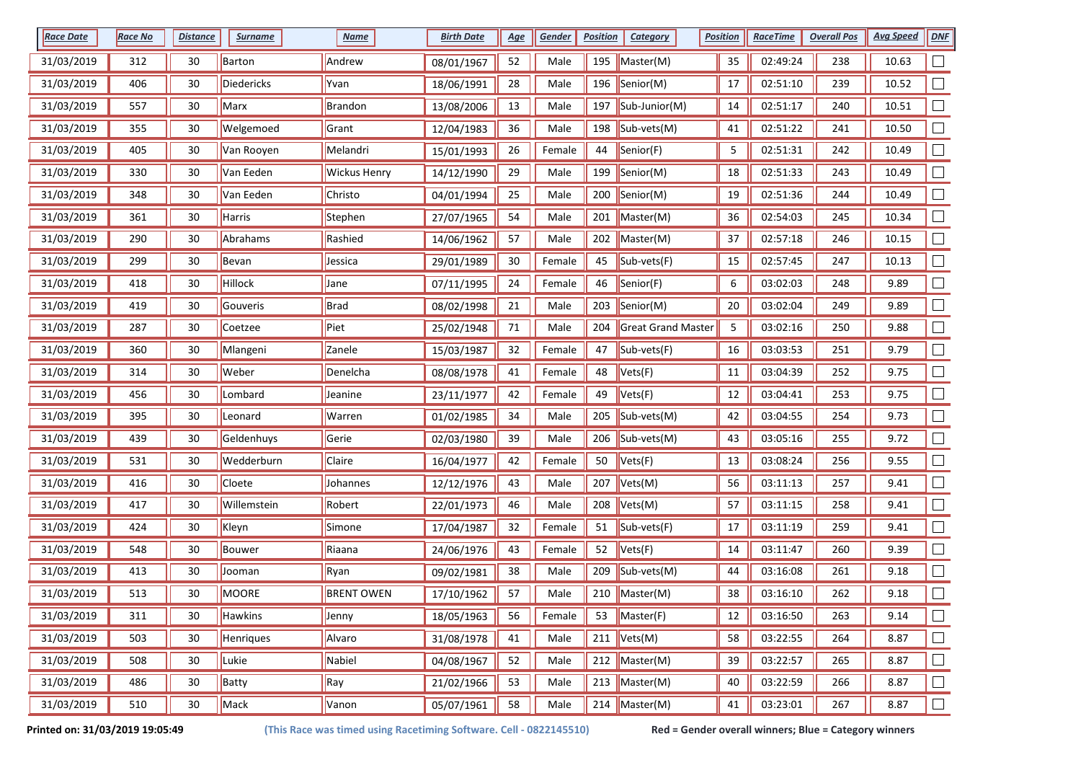| <b>Race Date</b> | Race No | <b>Distance</b> | <b>Surname</b> | <b>Name</b>         | <b>Birth Date</b> | <u>Age</u> | Gender | <b>Position</b> | <b>Category</b>    | <b>Position</b> | <b>RaceTime</b> | <b>Overall Pos</b> | <b>Avg Speed</b> | <b>DNF</b> |
|------------------|---------|-----------------|----------------|---------------------|-------------------|------------|--------|-----------------|--------------------|-----------------|-----------------|--------------------|------------------|------------|
| 31/03/2019       | 312     | 30              | Barton         | Andrew              | 08/01/1967        | 52         | Male   | 195             | Master(M)          | 35              | 02:49:24        | 238                | 10.63            |            |
| 31/03/2019       | 406     | 30              | Diedericks     | Yvan                | 18/06/1991        | 28         | Male   |                 | 196 Senior(M)      | 17              | 02:51:10        | 239                | 10.52            |            |
| 31/03/2019       | 557     | 30              | Marx           | <b>Brandon</b>      | 13/08/2006        | 13         | Male   |                 | 197 Sub-Junior(M)  | 14              | 02:51:17        | 240                | 10.51            |            |
| 31/03/2019       | 355     | 30              | Welgemoed      | Grant               | 12/04/1983        | 36         | Male   |                 | 198 Sub-vets(M)    | 41              | 02:51:22        | 241                | 10.50            |            |
| 31/03/2019       | 405     | 30              | Van Rooyen     | Melandri            | 15/01/1993        | 26         | Female | 44              | Senior(F)          | 5               | 02:51:31        | 242                | 10.49            |            |
| 31/03/2019       | 330     | 30              | Van Eeden      | <b>Wickus Henry</b> | 14/12/1990        | 29         | Male   | 199             | Senior(M)          | 18              | 02:51:33        | 243                | 10.49            |            |
| 31/03/2019       | 348     | 30              | Van Eeden      | Christo             | 04/01/1994        | 25         | Male   | 200             | Senior(M)          | 19              | 02:51:36        | 244                | 10.49            |            |
| 31/03/2019       | 361     | 30              | Harris         | Stephen             | 27/07/1965        | 54         | Male   | 201             | Master(M)          | 36              | 02:54:03        | 245                | 10.34            |            |
| 31/03/2019       | 290     | 30              | Abrahams       | Rashied             | 14/06/1962        | 57         | Male   | 202             | Master(M)          | 37              | 02:57:18        | 246                | 10.15            |            |
| 31/03/2019       | 299     | 30              | Bevan          | Jessica             | 29/01/1989        | 30         | Female | 45              | Sub-vets(F)        | 15              | 02:57:45        | 247                | 10.13            |            |
| 31/03/2019       | 418     | 30              | Hillock        | Jane                | 07/11/1995        | 24         | Female | 46              | Senior(F)          | 6               | 03:02:03        | 248                | 9.89             |            |
| 31/03/2019       | 419     | 30              | Gouveris       | <b>Brad</b>         | 08/02/1998        | 21         | Male   | 203             | Senior(M)          | 20              | 03:02:04        | 249                | 9.89             |            |
| 31/03/2019       | 287     | 30              | Coetzee        | Piet                | 25/02/1948        | $71\,$     | Male   | 204             | Great Grand Master | 5               | 03:02:16        | 250                | 9.88             |            |
| 31/03/2019       | 360     | 30              | Mlangeni       | Zanele              | 15/03/1987        | 32         | Female | 47              | Sub-vets(F)        | 16              | 03:03:53        | 251                | 9.79             | $\Box$     |
| 31/03/2019       | 314     | 30              | Weber          | Denelcha            | 08/08/1978        | 41         | Female | 48              | Vets(F)            | 11              | 03:04:39        | 252                | 9.75             |            |
| 31/03/2019       | 456     | 30              | Lombard        | Jeanine             | 23/11/1977        | 42         | Female | 49              | Vets(F)            | 12              | 03:04:41        | 253                | 9.75             |            |
| 31/03/2019       | 395     | 30              | Leonard        | Warren              | 01/02/1985        | 34         | Male   | 205             | Sub-vets(M)        | 42              | 03:04:55        | 254                | 9.73             |            |
| 31/03/2019       | 439     | 30              | Geldenhuys     | Gerie               | 02/03/1980        | 39         | Male   | 206             | Sub-vets(M)        | 43              | 03:05:16        | 255                | 9.72             |            |
| 31/03/2019       | 531     | 30              | Wedderburn     | Claire              | 16/04/1977        | 42         | Female | 50              | Vets(F)            | 13              | 03:08:24        | 256                | 9.55             |            |
| 31/03/2019       | 416     | 30              | Cloete         | Johannes            | 12/12/1976        | 43         | Male   | 207             | Vets(M)            | 56              | 03:11:13        | 257                | 9.41             |            |
| 31/03/2019       | 417     | 30              | Willemstein    | Robert              | 22/01/1973        | 46         | Male   | 208             | Vets(M)            | 57              | 03:11:15        | 258                | 9.41             |            |
| 31/03/2019       | 424     | 30              | Kleyn          | Simone              | 17/04/1987        | 32         | Female | 51              | Sub-vets(F)        | 17              | 03:11:19        | 259                | 9.41             | $\Box$     |
| 31/03/2019       | 548     | 30              | Bouwer         | Riaana              | 24/06/1976        | 43         | Female | 52              | Vets(F)            | 14              | 03:11:47        | 260                | 9.39             | $\Box$     |
| 31/03/2019       | 413     | 30              | Jooman         | Ryan                | 09/02/1981        | 38         | Male   | 209             | Sub-vets(M)        | 44              | 03:16:08        | 261                | 9.18             |            |
| 31/03/2019       | 513     | 30              | MOORE          | <b>BRENT OWEN</b>   | 17/10/1962        | 57         | Male   | 210             | Master(M)          | 38              | 03:16:10        | 262                | 9.18             |            |
| 31/03/2019       | 311     | 30              | Hawkins        | Jenny               | 18/05/1963        | 56         | Female | 53              | Master(F)          | 12              | 03:16:50        | 263                | 9.14             | $\Box$     |
| 31/03/2019       | 503     | 30              | Henriques      | Alvaro              | 31/08/1978        | 41         | Male   |                 | 211 $Vets(M)$      | 58              | 03:22:55        | 264                | 8.87             | $\Box$     |
| 31/03/2019       | 508     | 30              | Lukie          | Nabiel              | 04/08/1967        | 52         | Male   |                 | 212 Master(M)      | 39              | 03:22:57        | 265                | 8.87             |            |
| 31/03/2019       | 486     | 30              | Batty          | Ray                 | 21/02/1966        | 53         | Male   |                 | 213   Master(M)    | 40              | 03:22:59        | 266                | 8.87             | $\Box$     |
| 31/03/2019       | 510     | 30              | Mack           | Vanon               | 05/07/1961        | 58         | Male   |                 | 214 Master(M)      | 41              | 03:23:01        | 267                | 8.87             | $\Box$     |